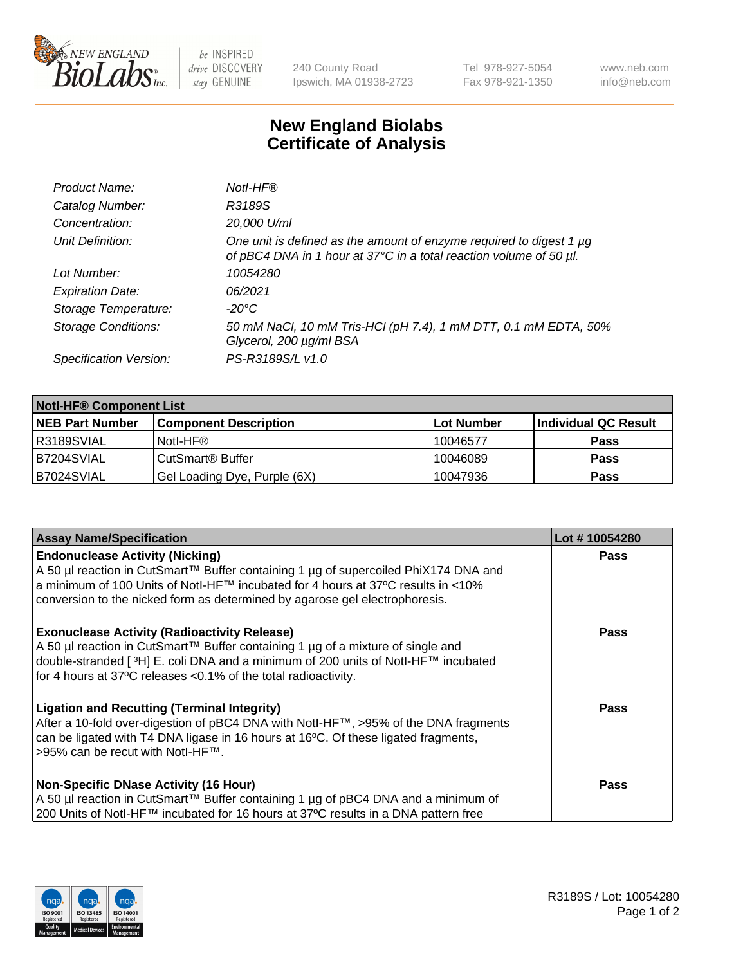

 $be$  INSPIRED drive DISCOVERY stay GENUINE

240 County Road Ipswich, MA 01938-2723 Tel 978-927-5054 Fax 978-921-1350 www.neb.com info@neb.com

## **New England Biolabs Certificate of Analysis**

| Product Name:              | Notl-HF®                                                                                                                                  |
|----------------------------|-------------------------------------------------------------------------------------------------------------------------------------------|
| Catalog Number:            | R3189S                                                                                                                                    |
| Concentration:             | 20,000 U/ml                                                                                                                               |
| Unit Definition:           | One unit is defined as the amount of enzyme required to digest 1 µg<br>of pBC4 DNA in 1 hour at 37°C in a total reaction volume of 50 µl. |
| Lot Number:                | 10054280                                                                                                                                  |
| <b>Expiration Date:</b>    | 06/2021                                                                                                                                   |
| Storage Temperature:       | -20°C                                                                                                                                     |
| <b>Storage Conditions:</b> | 50 mM NaCl, 10 mM Tris-HCl (pH 7.4), 1 mM DTT, 0.1 mM EDTA, 50%<br>Glycerol, 200 µg/ml BSA                                                |
| Specification Version:     | PS-R3189S/L v1.0                                                                                                                          |

| <b>Notl-HF® Component List</b> |                              |            |                      |  |  |
|--------------------------------|------------------------------|------------|----------------------|--|--|
| <b>NEB Part Number</b>         | <b>Component Description</b> | Lot Number | Individual QC Result |  |  |
| R3189SVIAL                     | Notl-HF®                     | 10046577   | <b>Pass</b>          |  |  |
| B7204SVIAL                     | CutSmart <sup>®</sup> Buffer | 10046089   | <b>Pass</b>          |  |  |
| B7024SVIAL                     | Gel Loading Dye, Purple (6X) | 10047936   | <b>Pass</b>          |  |  |

| <b>Assay Name/Specification</b>                                                                                                                                                                                                                                                                              | Lot #10054280 |
|--------------------------------------------------------------------------------------------------------------------------------------------------------------------------------------------------------------------------------------------------------------------------------------------------------------|---------------|
| <b>Endonuclease Activity (Nicking)</b><br>A 50 µl reaction in CutSmart™ Buffer containing 1 µg of supercoiled PhiX174 DNA and                                                                                                                                                                                | <b>Pass</b>   |
| a minimum of 100 Units of Notl-HF™ incubated for 4 hours at 37°C results in <10%<br>conversion to the nicked form as determined by agarose gel electrophoresis.                                                                                                                                              |               |
| <b>Exonuclease Activity (Radioactivity Release)</b><br>  A 50 µl reaction in CutSmart™ Buffer containing 1 µg of a mixture of single and<br>double-stranded [ <sup>3</sup> H] E. coli DNA and a minimum of 200 units of Notl-HF™ incubated<br>for 4 hours at 37°C releases <0.1% of the total radioactivity. | <b>Pass</b>   |
| <b>Ligation and Recutting (Terminal Integrity)</b><br>After a 10-fold over-digestion of pBC4 DNA with Notl-HF™, >95% of the DNA fragments<br>can be ligated with T4 DNA ligase in 16 hours at 16 <sup>o</sup> C. Of these ligated fragments,<br> >95% can be recut with NotI-HF™.                            | Pass          |
| <b>Non-Specific DNase Activity (16 Hour)</b>                                                                                                                                                                                                                                                                 | <b>Pass</b>   |
| A 50 µl reaction in CutSmart™ Buffer containing 1 µg of pBC4 DNA and a minimum of<br>200 Units of Notl-HF™ incubated for 16 hours at 37°C results in a DNA pattern free                                                                                                                                      |               |